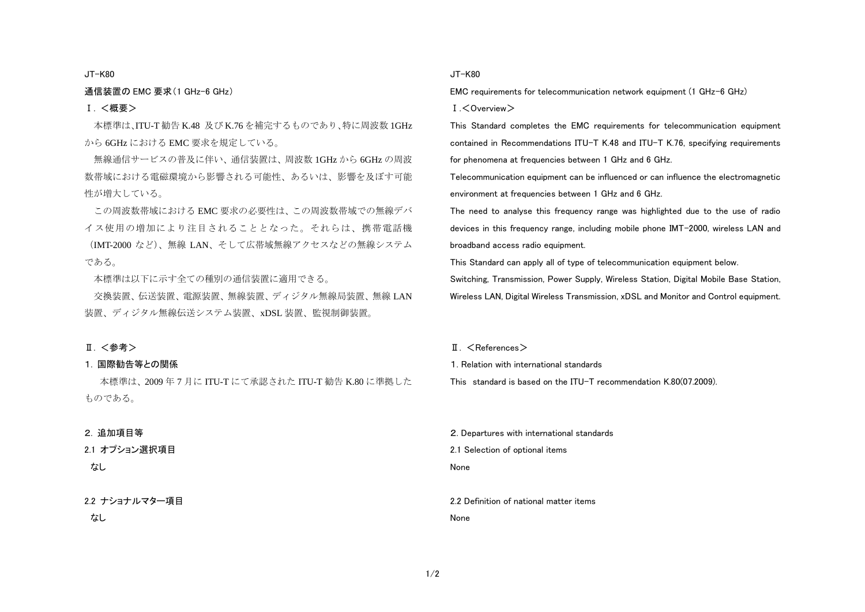#### JT-K80

#### 通信装置の EMC 要求(1 GHz-6 GHz)

## Ⅰ. <概要>

本標準は、ITU-T 勧告 K.48 及び K.76 を補完するものであり、特に周波数 1GHz から 6GHz における EMC 要求を規定している。

無線通信サービスの普及に伴い、通信装置は、周波数 1GHz から 6GHz の周波 数帯域における電磁環境から影響される可能性、あるいは、影響を及ぼす可能 性が増大している。

この周波数帯域における EMC 要求の必要性は、この周波数帯域での無線デバ イス使用の増加により注目されることとなった。それらは、携帯電話機 (IMT-2000 など)、無線 LAN、そして広帯域無線アクセスなどの無線システム である。

本標準は以下に示す全ての種別の通信装置に適用できる。

交換装置、伝送装置、電源装置、無線装置、ディジタル無線局装置、無線 LAN 装置、ディジタル無線伝送システム装置、xDSL 装置、監視制御装置。

#### Ⅱ. <参考>

#### 1. 国際勧告等との関係

本標準は、2009 年 7 月に ITU-T にて承認された ITU-T 勧告 K.80 に準拠した ものである。

#### 2. 追加項目等

2.1 オプション選択項目

# なし

## 2.2 ナショナルマター項目

なし

#### JT-K80

EMC requirements for telecommunication network equipment (1 GHz-6 GHz)

 $I.$   $\langle$  Overview $\rangle$ 

This Standard completes the EMC requirements for telecommunication equipment contained in Recommendations ITU-T K.48 and ITU-T K.76, specifying requirements for phenomena at frequencies between 1 GHz and 6 GHz.

Telecommunication equipment can be influenced or can influence the electromagnetic environment at frequencies between 1 GHz and 6 GHz.

The need to analyse this frequency range was highlighted due to the use of radio devices in this frequency range, including mobile phone IMT-2000, wireless LAN and broadband access radio equipment.

This Standard can apply all of type of telecommunication equipment below.

Switching, Transmission, Power Supply, Wireless Station, Digital Mobile Base Station, Wireless LAN, Digital Wireless Transmission, xDSL and Monitor and Control equipment.

#### $\P$ .  $\leq$ References $>$

1. Relation with international standards

This standard is based on the ITU-T recommendation K.80(07.2009).

2. Departures with international standards

2.1 Selection of optional items

None

2.2 Definition of national matter items

None